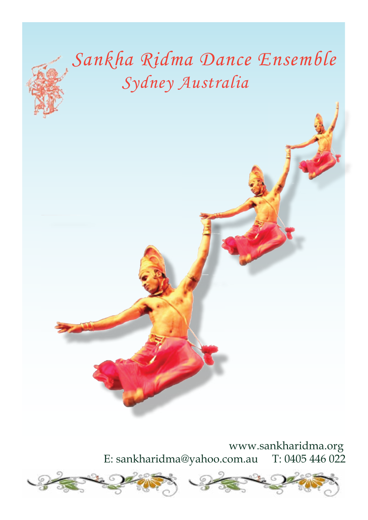

www.sankharidma.org<br>om.au T: 0405 446 022 E: sankharidma@yahoo.com.au

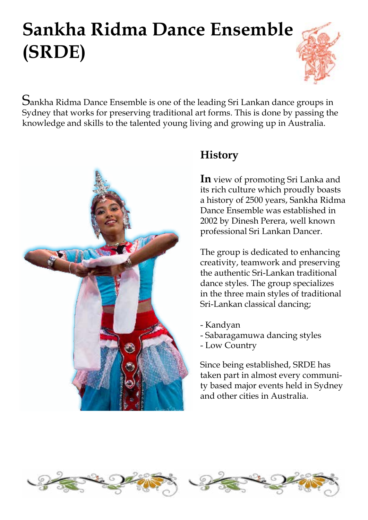## **Sankha Ridma Dance Ensemble (SRDE)**



Sankha Ridma Dance Ensemble is one of the leading Sri Lankan dance groups in Sydney that works for preserving traditional art forms. This is done by passing the knowledge and skills to the talented young living and growing up in Australia.



### **History**

**In** view of promoting Sri Lanka and its rich culture which proudly boasts a history of 2500 years, Sankha Ridma Dance Ensemble was established in 2002 by Dinesh Perera, well known professional Sri Lankan Dancer.

The group is dedicated to enhancing creativity, teamwork and preserving the authentic Sri-Lankan traditional dance styles. The group specializes in the three main styles of traditional Sri-Lankan classical dancing;

- Kandyan
- Sabaragamuwa dancing styles
- Low Country

Since being established, SRDE has taken part in almost every community based major events held in Sydney and other cities in Australia.



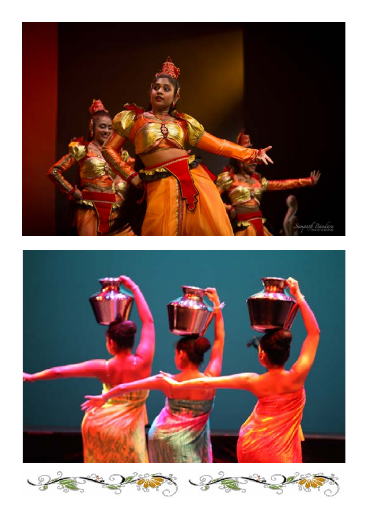



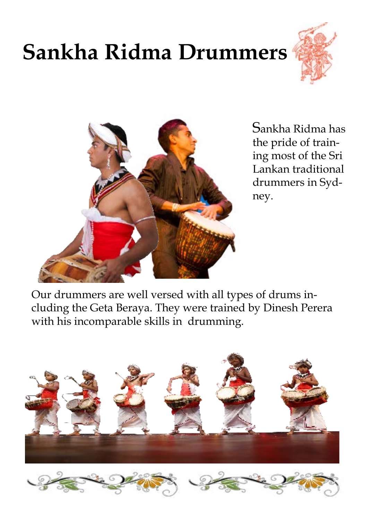# **Sankha Ridma Drummers**





Sankha Ridma has the pride of training most of the Sri Lankan traditional drummers in Sydney.

Our drummers are well versed with all types of drums including the Geta Beraya. They were trained by Dinesh Perera with his incomparable skills in drumming.

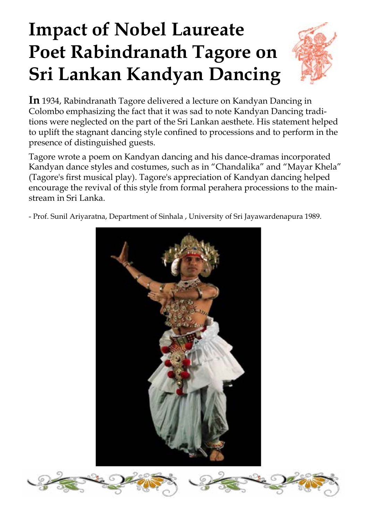## **Impact of Nobel Laureate Poet Rabindranath Tagore on Sri Lankan Kandyan Dancing**



**In** 1934, Rabindranath Tagore delivered a lecture on Kandyan Dancing in Colombo emphasizing the fact that it was sad to note Kandyan Dancing traditions were neglected on the part of the Sri Lankan aesthete. His statement helped to uplift the stagnant dancing style confined to processions and to perform in the presence of distinguished guests.

Tagore wrote a poem on Kandyan dancing and his dance-dramas incorporated Kandyan dance styles and costumes, such as in "Chandalika" and "Mayar Khela" (Tagore's first musical play). Tagore's appreciation of Kandyan dancing helped encourage the revival of this style from formal perahera processions to the mainstream in Sri Lanka.

- Prof. Sunil Ariyaratna, Department of Sinhala , University of Sri Jayawardenapura 1989.

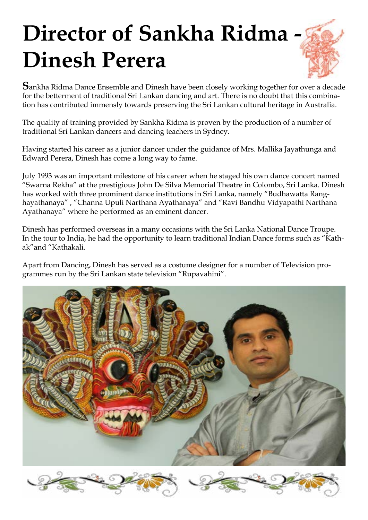# **Director of Sankha Ridma - Dinesh Perera**



**S**ankha Ridma Dance Ensemble and Dinesh have been closely working together for over a decade for the betterment of traditional Sri Lankan dancing and art. There is no doubt that this combination has contributed immensly towards preserving the Sri Lankan cultural heritage in Australia.

The quality of training provided by Sankha Ridma is proven by the production of a number of traditional Sri Lankan dancers and dancing teachers in Sydney.

Having started his career as a junior dancer under the guidance of Mrs. Mallika Jayathunga and Edward Perera, Dinesh has come a long way to fame.

July 1993 was an important milestone of his career when he staged his own dance concert named "Swarna Rekha" at the prestigious John De Silva Memorial Theatre in Colombo, Sri Lanka. Dinesh has worked with three prominent dance institutions in Sri Lanka, namely "Budhawatta Ranghayathanaya" , "Channa Upuli Narthana Ayathanaya" and "Ravi Bandhu Vidyapathi Narthana Ayathanaya" where he performed as an eminent dancer.

Dinesh has performed overseas in a many occasions with the Sri Lanka National Dance Troupe. In the tour to India, he had the opportunity to learn traditional Indian Dance forms such as "Kathak"and "Kathakali.

Apart from Dancing, Dinesh has served as a costume designer for a number of Television programmes run by the Sri Lankan state television "Rupavahini".

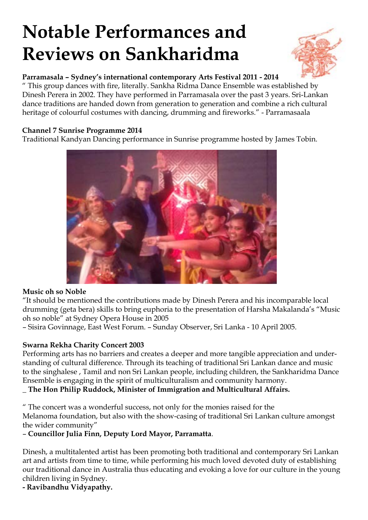## **Notable Performances and Reviews on Sankharidma**



#### **Parramasala – Sydney's international contemporary Arts Festival 2011 - 2014**

" This group dances with fire, literally. Sankha Ridma Dance Ensemble was established by Dinesh Perera in 2002. They have performed in Parramasala over the past 3 years. Sri-Lankan dance traditions are handed down from generation to generation and combine a rich cultural heritage of colourful costumes with dancing, drumming and fireworks." - Parramasaala

#### **Channel 7 Sunrise Programme 2014**

Traditional Kandyan Dancing performance in Sunrise programme hosted by James Tobin.



#### **Music oh so Noble**

"It should be mentioned the contributions made by Dinesh Perera and his incomparable local drumming (geta bera) skills to bring euphoria to the presentation of Harsha Makalanda's "Music oh so noble" at Sydney Opera House in 2005

– Sisira Govinnage, East West Forum. – Sunday Observer, Sri Lanka - 10 April 2005.

#### **Swarna Rekha Charity Concert 2003**

Performing arts has no barriers and creates a deeper and more tangible appreciation and understanding of cultural difference. Through its teaching of traditional Sri Lankan dance and music to the singhalese , Tamil and non Sri Lankan people, including children, the Sankharidma Dance Ensemble is engaging in the spirit of multiculturalism and community harmony.

**\_ The Hon Philip Ruddock, Minister of Immigration and Multicultural Affairs.**

" The concert was a wonderful success, not only for the monies raised for the Melanoma foundation, but also with the show-casing of traditional Sri Lankan culture amongst the wider community"

– **Councillor Julia Finn, Deputy Lord Mayor, Parramatta**.

Dinesh, a multitalented artist has been promoting both traditional and contemporary Sri Lankan art and artists from time to time, while performing his much loved devoted duty of establishing our traditional dance in Australia thus educating and evoking a love for our culture in the young children living in Sydney.

**- Ravibandhu Vidyapathy.**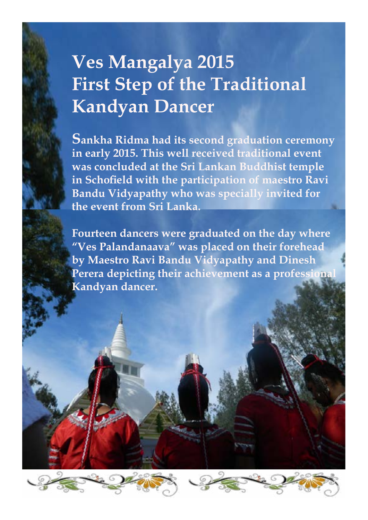### **Ves Mangalya 2015 First Step of the Traditional Kandyan Dancer**

**Sankha Ridma had its second graduation ceremony in early 2015. This well received traditional event was concluded at the Sri Lankan Buddhist temple in Schofield with the participation of maestro Ravi Bandu Vidyapathy who was specially invited for the event from Sri Lanka.** 

**Fourteen dancers were graduated on the day where "Ves Palandanaava" was placed on their forehead by Maestro Ravi Bandu Vidyapathy and Dinesh**  Perera depicting their achievement as a professional **Kandyan dancer.** 

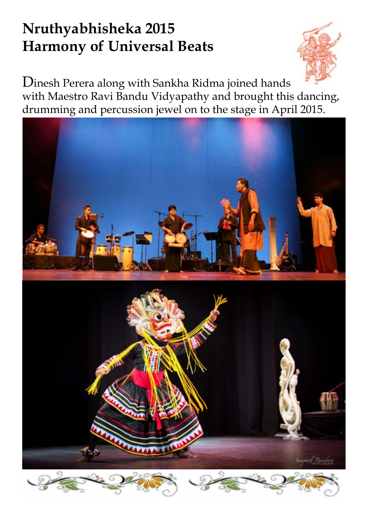### **Nruthyabhisheka 2015 Harmony of Universal Beats**



Dinesh Perera along with Sankha Ridma joined hands with Maestro Ravi Bandu Vidyapathy and brought this dancing, drumming and percussion jewel on to the stage in April 2015.